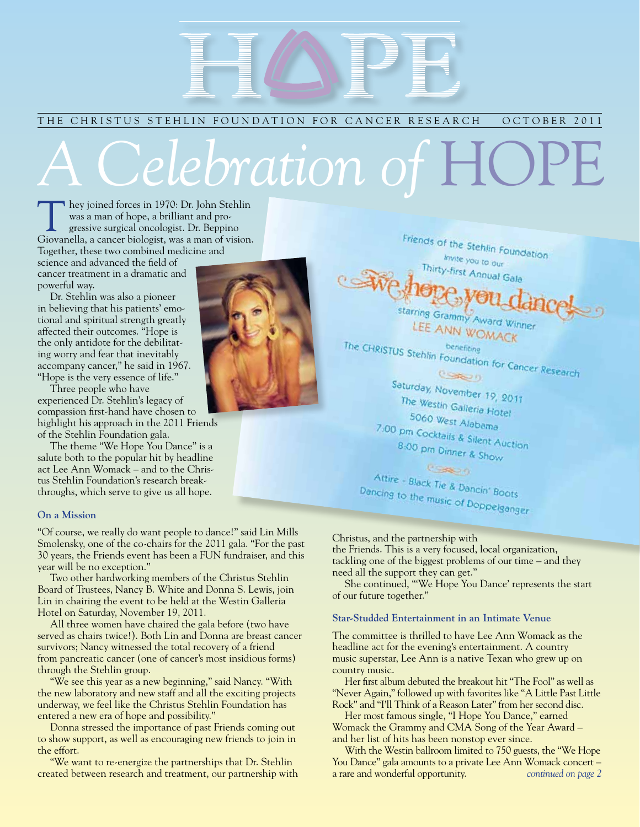## THE CHRISTUS STEHLIN FOUNDATION FOR CANCER RESEARCH OCTOBER 2011

# *A Clebration of* F

They joined forces in 1970: Dr. John Stehlin was a man of hope, a brilliant and progressive surgical oncologist. Dr. Beppino Giovanella, a cancer biologist, was a man of vision. Together, these two combined medicine and

science and advanced the field of cancer treatment in a dramatic and powerful way.

Dr. Stehlin was also a pioneer in believing that his patients' emotional and spiritual strength greatly affected their outcomes. "Hope is the only antidote for the debilitating worry and fear that inevitably accompany cancer," he said in 1967. "Hope is the very essence of life."

Three people who have experienced Dr. Stehlin's legacy of compassion first-hand have chosen to highlight his approach in the 2011 Friends of the Stehlin Foundation gala.

The theme "We Hope You Dance" is a salute both to the popular hit by headline act Lee Ann Womack – and to the Christus Stehlin Foundation's research breakthroughs, which serve to give us all hope.

#### **On a Mission**

"Of course, we really do want people to dance!" said Lin Mills Smolensky, one of the co-chairs for the 2011 gala. "For the past 30 years, the Friends event has been a FUN fundraiser, and this year will be no exception."

Two other hardworking members of the Christus Stehlin Board of Trustees, Nancy B. White and Donna S. Lewis, join Lin in chairing the event to be held at the Westin Galleria Hotel on Saturday, November 19, 2011.

All three women have chaired the gala before (two have served as chairs twice!). Both Lin and Donna are breast cancer survivors; Nancy witnessed the total recovery of a friend from pancreatic cancer (one of cancer's most insidious forms) through the Stehlin group.

"We see this year as a new beginning," said Nancy. "With the new laboratory and new staff and all the exciting projects underway, we feel like the Christus Stehlin Foundation has entered a new era of hope and possibility."

Donna stressed the importance of past Friends coming out to show support, as well as encouraging new friends to join in the effort.

"We want to re-energize the partnerships that Dr. Stehlin created between research and treatment, our partnership with



Friends of the Stehlin Foundation invite you to our Thirty-first Annual Gala starring Grammy Award Winner LEE ANN WOMACK

The CHRISTUS Stehlin Foundation for Cancer Research

Saturday, November 19, 2011 The Westin Galleria Hotel 5060 West Alabama 7:00 pm Cocktails & Silent Auction 8:00 pm Dinner & Show Compo

Attire - Black Tie & Dancin' Boots Dancing + Black Tie & Dancin' Boots<br>Dancing to the music of Doppelganger

#### Christus, and the partnership with

the Friends. This is a very focused, local organization, tackling one of the biggest problems of our time – and they need all the support they can get."

She continued, "'We Hope You Dance' represents the start of our future together."

#### **Star-Studded Entertainment in an Intimate Venue**

The committee is thrilled to have Lee Ann Womack as the headline act for the evening's entertainment. A country music superstar, Lee Ann is a native Texan who grew up on country music.

Her first album debuted the breakout hit "The Fool" as well as "Never Again," followed up with favorites like "A Little Past Little Rock" and "I'll Think of a Reason Later" from her second disc.

Her most famous single, "I Hope You Dance," earned Womack the Grammy and CMA Song of the Year Award – and her list of hits has been nonstop ever since.

With the Westin ballroom limited to 750 guests, the "We Hope You Dance" gala amounts to a private Lee Ann Womack concert – a rare and wonderful opportunity. *continued on page 2*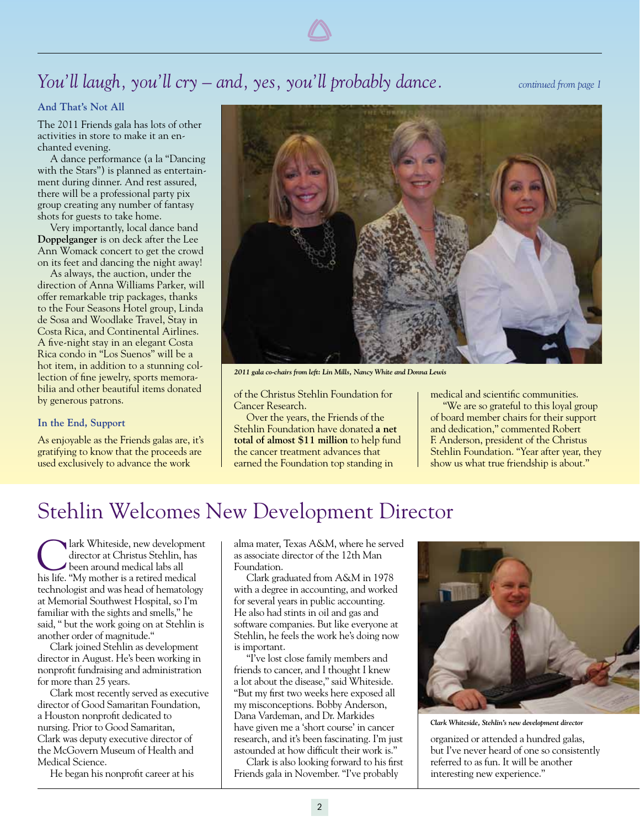## *You'll laugh, you'll cry – and, yes, you'll probably dance. continued from page 1*

## **And That's Not All**

The 2011 Friends gala has lots of other activities in store to make it an enchanted evening.

A dance performance (a la "Dancing with the Stars") is planned as entertainment during dinner. And rest assured, there will be a professional party pix group creating any number of fantasy shots for guests to take home.

Very importantly, local dance band **Doppelganger** is on deck after the Lee Ann Womack concert to get the crowd on its feet and dancing the night away!

As always, the auction, under the direction of Anna Williams Parker, will offer remarkable trip packages, thanks to the Four Seasons Hotel group, Linda de Sosa and Woodlake Travel, Stay in Costa Rica, and Continental Airlines. A five-night stay in an elegant Costa Rica condo in "Los Suenos" will be a hot item, in addition to a stunning collection of fine jewelry, sports memorabilia and other beautiful items donated by generous patrons.

#### **In the End, Support**

As enjoyable as the Friends galas are, it's gratifying to know that the proceeds are used exclusively to advance the work



*2011 gala co-chairs from left: Lin Mills, Nancy White and Donna Lewis*

of the Christus Stehlin Foundation for Cancer Research.

Over the years, the Friends of the Stehlin Foundation have donated **a net total of almost \$11 million** to help fund the cancer treatment advances that earned the Foundation top standing in

medical and scientific communities.

"We are so grateful to this loyal group of board member chairs for their support and dedication," commented Robert F. Anderson, president of the Christus Stehlin Foundation. "Year after year, they show us what true friendship is about."

## Stehlin Welcomes New Development Director

Iark Whiteside, new development director at Christus Stehlin, has been around medical labs all his life. "My mother is a retired medical technologist and was head of hematology at Memorial Southwest Hospital, so I'm familiar with the sights and smells," he said, " but the work going on at Stehlin is another order of magnitude."

Clark joined Stehlin as development director in August. He's been working in nonprofit fundraising and administration for more than 25 years.

Clark most recently served as executive director of Good Samaritan Foundation, a Houston nonprofit dedicated to nursing. Prior to Good Samaritan, Clark was deputy executive director of the McGovern Museum of Health and Medical Science.

He began his nonprofit career at his

alma mater, Texas A&M, where he served as associate director of the 12th Man Foundation.

Clark graduated from A&M in 1978 with a degree in accounting, and worked for several years in public accounting. He also had stints in oil and gas and software companies. But like everyone at Stehlin, he feels the work he's doing now is important.

"I've lost close family members and friends to cancer, and I thought I knew a lot about the disease," said Whiteside. "But my first two weeks here exposed all my misconceptions. Bobby Anderson, Dana Vardeman, and Dr. Markides have given me a 'short course' in cancer research, and it's been fascinating. I'm just astounded at how difficult their work is."

Clark is also looking forward to his first Friends gala in November. "I've probably



*Clark Whiteside, Stehlin's new development director*

organized or attended a hundred galas, but I've never heard of one so consistently referred to as fun. It will be another interesting new experience."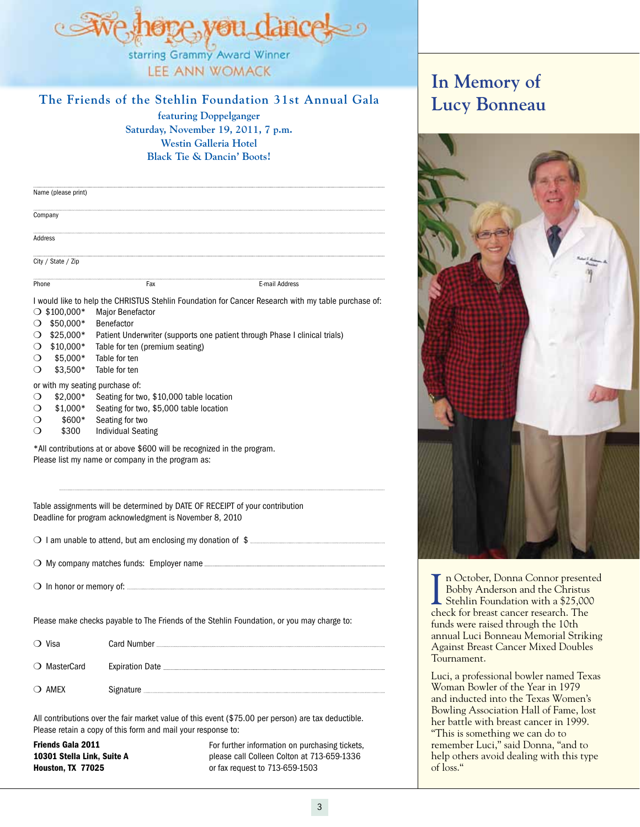

**LEE ANN WOMACK** 

## **The Friends of the Stehlin Foundation 31st Annual Gala**

**featuring Doppelganger Saturday, November 19, 2011, 7 p.m. Westin Galleria Hotel Black Tie & Dancin' Boots!**

| Name (please print) |     |                |  |
|---------------------|-----|----------------|--|
| Company             |     |                |  |
| Address             |     |                |  |
| City / State / Zip  |     |                |  |
| Phone               | Fax | E-mail Address |  |

I would like to help the CHRISTUS Stehlin Foundation for Cancer Research with my table purchase of:

 $\bigcirc$  \$100,000\* Major Benefactor  $O$  \$50,000\* Benefactor  $\bigcirc$  \$25,000\* Patient Underwriter (supports one patient through Phase I clinical trials)  $\bigcirc$  \$10,000\* Table for ten (premium seating)  $\bigcirc$  \$5,000\* Table for ten  $\bigcirc$  \$3.500\* Table for ten or with my seating purchase of:  $\bigcirc$  \$2,000\* Seating for two, \$10,000 table location  $\bigcirc$  \$1,000\* Seating for two, \$5,000 table location  $\bigcirc$  \$600\* Seating for two  $\bigcirc$  \$300 Individual Seating \*All contributions at or above \$600 will be recognized in the program. Please list my name or company in the program as:

Table assignments will be determined by DATE OF RECEIPT of your contribution Deadline for program acknowledgment is November 8, 2010

m I am unable to attend, but am enclosing my donation of \$

m My company matches funds: Employer name

m In honor or memory of: Address

Please make checks payable to The Friends of the Stehlin Foundation, or you may charge to:

| ◯ Visa       | Card Number |
|--------------|-------------|
| ○ MasterCard |             |
| (C) AMEX     | Signature   |

All contributions over the fair market value of this event (\$75.00 per person) are tax deductible. Please retain a copy of this form and mail your response to:

Friends Gala 2011 10301 Stella Link, Suite A Houston, TX 77025

For further information on purchasing tickets, please call Colleen Colton at 713-659-1336 or fax request to 713-659-1503

## **In Memory of Lucy Bonneau**



In October, Donna Connor present<br>Bobby Anderson and the Christus<br>Stehlin Foundation with a \$25,000<br>check for breast cancer research. The n October, Donna Connor presented Bobby Anderson and the Christus Stehlin Foundation with a \$25,000 funds were raised through the 10th annual Luci Bonneau Memorial Striking Against Breast Cancer Mixed Doubles Tournament.

Luci, a professional bowler named Texas Woman Bowler of the Year in 1979 and inducted into the Texas Women's Bowling Association Hall of Fame, lost her battle with breast cancer in 1999. "This is something we can do to remember Luci," said Donna, "and to help others avoid dealing with this type of loss."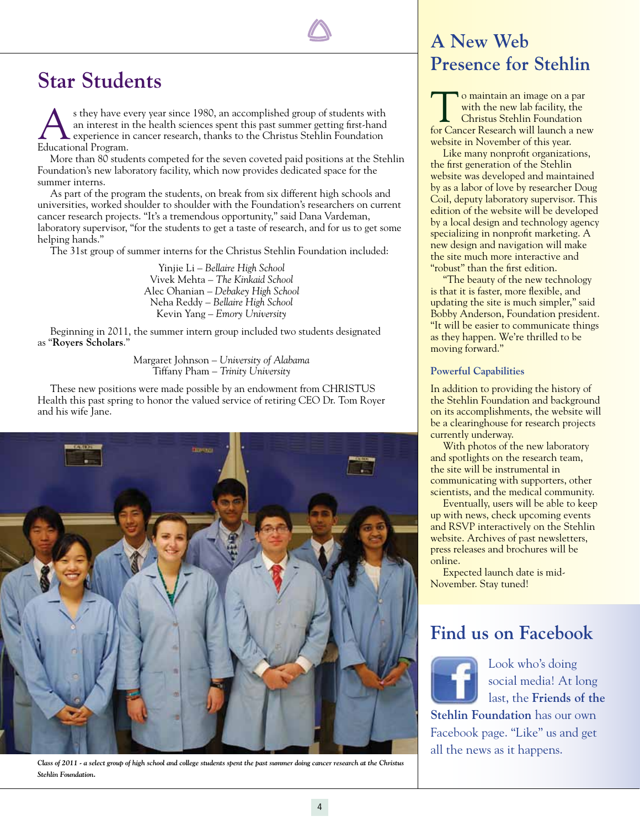## **Star Students**

s they have every year since 1980, an accomplished group of students with an interest in the health sciences spent this past summer getting first-hand experience in cancer research, thanks to the Christus Stehlin Foundatio an interest in the health sciences spent this past summer getting first-hand **L** experience in cancer research, thanks to the Christus Stehlin Foundation Educational Program.

More than 80 students competed for the seven coveted paid positions at the Stehlin Foundation's new laboratory facility, which now provides dedicated space for the summer interns.

As part of the program the students, on break from six different high schools and universities, worked shoulder to shoulder with the Foundation's researchers on current cancer research projects. "It's a tremendous opportunity," said Dana Vardeman, laboratory supervisor, "for the students to get a taste of research, and for us to get some helping hands."

The 31st group of summer interns for the Christus Stehlin Foundation included:

Yinjie Li – *Bellaire High School* Vivek Mehta – *The Kinkaid School* Alec Ohanian – *Debakey High School* Neha Reddy – *Bellaire High School* Kevin Yang – *Emory University*

Beginning in 2011, the summer intern group included two students designated as "**Royers Scholars**."

> Margaret Johnson – *University of Alabama* Tiffany Pham – *Trinity University*

These new positions were made possible by an endowment from CHRISTUS Health this past spring to honor the valued service of retiring CEO Dr. Tom Royer and his wife Jane.



*Class of 2011 - a select group of high school and college students spent the past summer doing cancer research at the Christus Stehlin Foundation.* 

## **A New Web Presence for Stehlin**

o maintain an image on a par with the new lab facility, the Christus Stehlin Foundation for Cancer Research will launch a new website in November of this year.

Like many nonprofit organizations, the first generation of the Stehlin website was developed and maintained by as a labor of love by researcher Doug Coil, deputy laboratory supervisor. This edition of the website will be developed by a local design and technology agency specializing in nonprofit marketing. A new design and navigation will make the site much more interactive and "robust" than the first edition.

"The beauty of the new technology is that it is faster, more flexible, and updating the site is much simpler," said Bobby Anderson, Foundation president. "It will be easier to communicate things as they happen. We're thrilled to be moving forward."

#### **Powerful Capabilities**

In addition to providing the history of the Stehlin Foundation and background on its accomplishments, the website will be a clearinghouse for research projects currently underway.

With photos of the new laboratory and spotlights on the research team, the site will be instrumental in communicating with supporters, other scientists, and the medical community.

Eventually, users will be able to keep up with news, check upcoming events and RSVP interactively on the Stehlin website. Archives of past newsletters, press releases and brochures will be online.

Expected launch date is mid-November. Stay tuned!

## **Find us on Facebook**

Look who's doing social media! At long last, the **Friends of the Stehlin Foundation** has our own Facebook page. "Like" us and get all the news as it happens.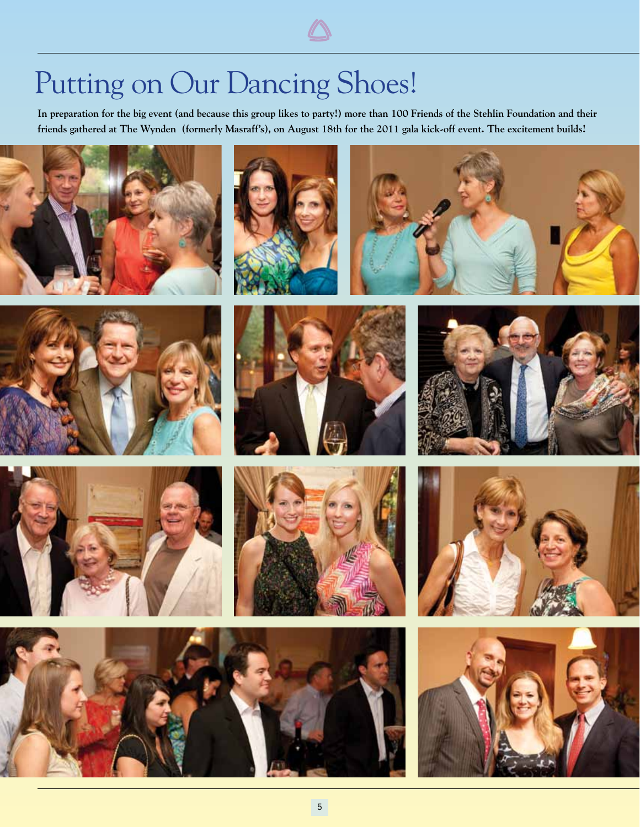# Putting on Our Dancing Shoes!

**In preparation for the big event (and because this group likes to party!) more than 100 Friends of the Stehlin Foundation and their friends gathered at The Wynden (formerly Masraff's), on August 18th for the 2011 gala kick-off event. The excitement builds!**